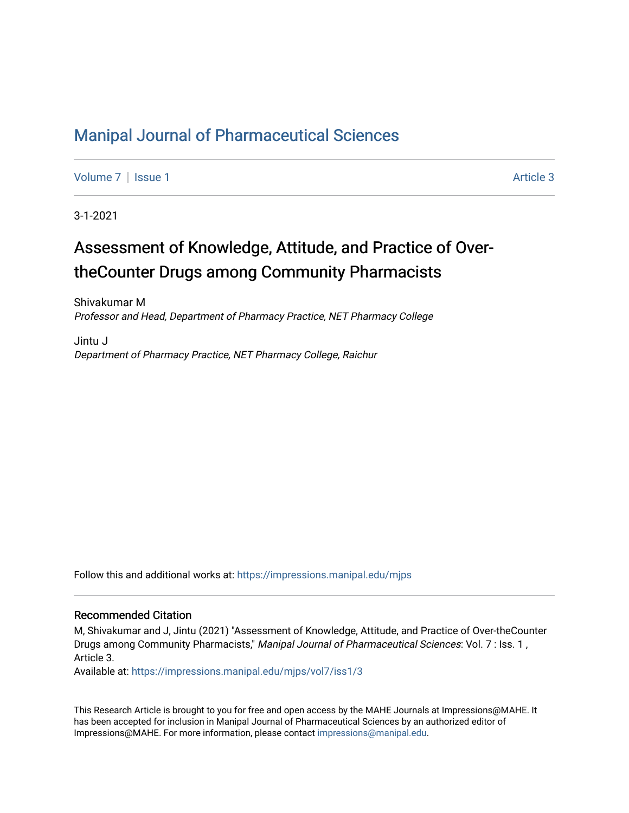# [Manipal Journal of Pharmaceutical Sciences](https://impressions.manipal.edu/mjps)

[Volume 7](https://impressions.manipal.edu/mjps/vol7) | [Issue 1](https://impressions.manipal.edu/mjps/vol7/iss1) Article 3

3-1-2021

# Assessment of Knowledge, Attitude, and Practice of OvertheCounter Drugs among Community Pharmacists

Shivakumar M Professor and Head, Department of Pharmacy Practice, NET Pharmacy College

Jintu J Department of Pharmacy Practice, NET Pharmacy College, Raichur

Follow this and additional works at: [https://impressions.manipal.edu/mjps](https://impressions.manipal.edu/mjps?utm_source=impressions.manipal.edu%2Fmjps%2Fvol7%2Fiss1%2F3&utm_medium=PDF&utm_campaign=PDFCoverPages)

#### Recommended Citation

M, Shivakumar and J, Jintu (2021) "Assessment of Knowledge, Attitude, and Practice of Over-theCounter Drugs among Community Pharmacists," Manipal Journal of Pharmaceutical Sciences: Vol. 7 : Iss. 1, Article 3.

Available at: [https://impressions.manipal.edu/mjps/vol7/iss1/3](https://impressions.manipal.edu/mjps/vol7/iss1/3?utm_source=impressions.manipal.edu%2Fmjps%2Fvol7%2Fiss1%2F3&utm_medium=PDF&utm_campaign=PDFCoverPages)

This Research Article is brought to you for free and open access by the MAHE Journals at Impressions@MAHE. It has been accepted for inclusion in Manipal Journal of Pharmaceutical Sciences by an authorized editor of Impressions@MAHE. For more information, please contact [impressions@manipal.edu](mailto:impressions@manipal.edu).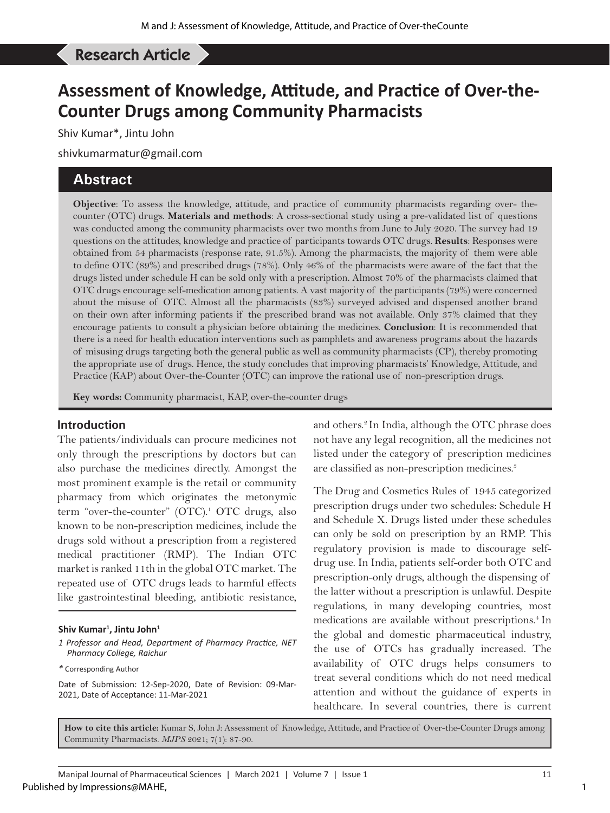#### Kumar S, *et al*: KAP on OTC drugs among community pharmacists Research Article

# **Assessment of Knowledge, Attitude, and Practice of Over-the-Counter Drugs among Community Pharmacists**

Shiv Kumar\*, Jintu John

shivkumarmatur@gmail.com

### **Abstract**

**Objective**: To assess the knowledge, attitude, and practice of community pharmacists regarding over- thecounter (OTC) drugs. **Materials and methods**: A cross-sectional study using a pre-validated list of questions was conducted among the community pharmacists over two months from June to July 2020. The survey had 19 questions on the attitudes, knowledge and practice of participants towards OTC drugs. **Results**: Responses were obtained from 54 pharmacists (response rate, 91.5%). Among the pharmacists, the majority of them were able to define OTC (89%) and prescribed drugs (78%). Only 46% of the pharmacists were aware of the fact that the drugs listed under schedule H can be sold only with a prescription. Almost 70% of the pharmacists claimed that OTC drugs encourage self-medication among patients. A vast majority of the participants (79%) were concerned about the misuse of OTC. Almost all the pharmacists (83%) surveyed advised and dispensed another brand on their own after informing patients if the prescribed brand was not available. Only 37% claimed that they encourage patients to consult a physician before obtaining the medicines. **Conclusion**: It is recommended that there is a need for health education interventions such as pamphlets and awareness programs about the hazards of misusing drugs targeting both the general public as well as community pharmacists (CP), thereby promoting the appropriate use of drugs. Hence, the study concludes that improving pharmacists' Knowledge, Attitude, and Practice (KAP) about Over-the-Counter (OTC) can improve the rational use of non-prescription drugs.

**Key words:** Community pharmacist, KAP, over-the-counter drugs

#### **Introduction**

The patients/individuals can procure medicines not only through the prescriptions by doctors but can also purchase the medicines directly. Amongst the most prominent example is the retail or community pharmacy from which originates the metonymic term "over-the-counter" (OTC).<sup>1</sup> OTC drugs, also known to be non-prescription medicines, include the drugs sold without a prescription from a registered medical practitioner (RMP). The Indian OTC market is ranked 11th in the global OTC market. The repeated use of OTC drugs leads to harmful effects like gastrointestinal bleeding, antibiotic resistance,

#### **Shiv Kumar1 , Jintu John1**

*1 Professor and Head, Department of Pharmacy Practice, NET Pharmacy College, Raichur*

Date of Submission: 12-Sep-2020, Date of Revision: 09-Mar-2021, Date of Acceptance: 11-Mar-2021

and others.<sup>2</sup> In India, although the OTC phrase does not have any legal recognition, all the medicines not listed under the category of prescription medicines are classified as non-prescription medicines.<sup>3</sup>

The Drug and Cosmetics Rules of 1945 categorized prescription drugs under two schedules: Schedule H and Schedule X. Drugs listed under these schedules can only be sold on prescription by an RMP. This regulatory provision is made to discourage selfdrug use. In India, patients self-order both OTC and prescription-only drugs, although the dispensing of the latter without a prescription is unlawful. Despite regulations, in many developing countries, most medications are available without prescriptions.<sup>4</sup> In the global and domestic pharmaceutical industry, the use of OTCs has gradually increased. The availability of OTC drugs helps consumers to treat several conditions which do not need medical attention and without the guidance of experts in healthcare. In several countries, there is current

**How to cite this article:** Kumar S, John J: Assessment of Knowledge, Attitude, and Practice of Over-the-Counter Drugs among Community Pharmacists. *MJPS* 2021; 7(1): 87-90.

*<sup>\*</sup>* Corresponding Author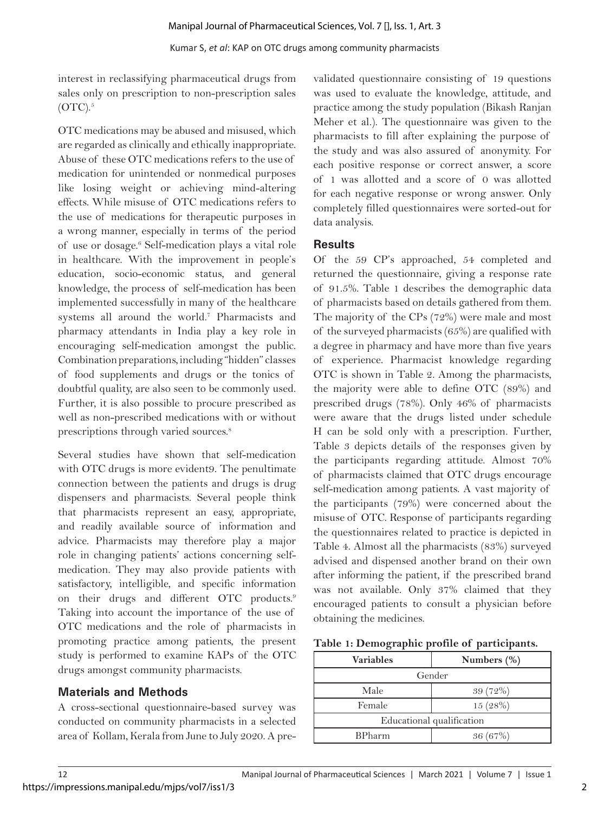interest in reclassifying pharmaceutical drugs from sales only on prescription to non-prescription sales  $(OTC).$ <sup>5</sup>

OTC medications may be abused and misused, which are regarded as clinically and ethically inappropriate. Abuse of these OTC medications refers to the use of medication for unintended or nonmedical purposes like losing weight or achieving mind-altering effects. While misuse of OTC medications refers to the use of medications for therapeutic purposes in a wrong manner, especially in terms of the period of use or dosage.<sup>6</sup> Self-medication plays a vital role in healthcare. With the improvement in people's education, socio-economic status, and general knowledge, the process of self-medication has been implemented successfully in many of the healthcare systems all around the world.<sup>7</sup> Pharmacists and pharmacy attendants in India play a key role in encouraging self-medication amongst the public. Combination preparations, including "hidden" classes of food supplements and drugs or the tonics of doubtful quality, are also seen to be commonly used. Further, it is also possible to procure prescribed as well as non-prescribed medications with or without prescriptions through varied sources.<sup>8</sup>

Several studies have shown that self-medication with OTC drugs is more evident 9. The penultimate connection between the patients and drugs is drug dispensers and pharmacists. Several people think that pharmacists represent an easy, appropriate, and readily available source of information and advice. Pharmacists may therefore play a major role in changing patients' actions concerning selfmedication. They may also provide patients with satisfactory, intelligible, and specific information on their drugs and different OTC products.<sup>9</sup> Taking into account the importance of the use of OTC medications and the role of pharmacists in promoting practice among patients, the present study is performed to examine KAPs of the OTC drugs amongst community pharmacists.

# **Materials and Methods**

A cross-sectional questionnaire-based survey was conducted on community pharmacists in a selected area of Kollam, Kerala from June to July 2020. A pre-

validated questionnaire consisting of 19 questions was used to evaluate the knowledge, attitude, and practice among the study population (Bikash Ranjan Meher et al.). The questionnaire was given to the pharmacists to fill after explaining the purpose of the study and was also assured of anonymity. For each positive response or correct answer, a score of 1 was allotted and a score of 0 was allotted for each negative response or wrong answer. Only completely filled questionnaires were sorted-out for data analysis.

#### **Results**

Of the 59 CP's approached, 54 completed and returned the questionnaire, giving a response rate of 91.5%. Table 1 describes the demographic data of pharmacists based on details gathered from them. The majority of the CPs (72%) were male and most of the surveyed pharmacists (65%) are qualified with a degree in pharmacy and have more than five years of experience. Pharmacist knowledge regarding OTC is shown in Table 2. Among the pharmacists, the majority were able to define OTC (89%) and prescribed drugs (78%). Only 46% of pharmacists were aware that the drugs listed under schedule H can be sold only with a prescription. Further, Table 3 depicts details of the responses given by the participants regarding attitude. Almost 70% of pharmacists claimed that OTC drugs encourage self-medication among patients. A vast majority of the participants (79%) were concerned about the misuse of OTC. Response of participants regarding the questionnaires related to practice is depicted in Table 4. Almost all the pharmacists (83%) surveyed advised and dispensed another brand on their own after informing the patient, if the prescribed brand was not available. Only 37% claimed that they encouraged patients to consult a physician before obtaining the medicines.

|  | Table 1: Demographic profile of participants. |  |  |  |
|--|-----------------------------------------------|--|--|--|
|--|-----------------------------------------------|--|--|--|

| <b>Variables</b>          | Numbers (%) |  |
|---------------------------|-------------|--|
| Gender                    |             |  |
| Male                      | 39(72%)     |  |
| Female                    | 15(28%)     |  |
| Educational qualification |             |  |
| <b>BPharm</b>             | 36(67%)     |  |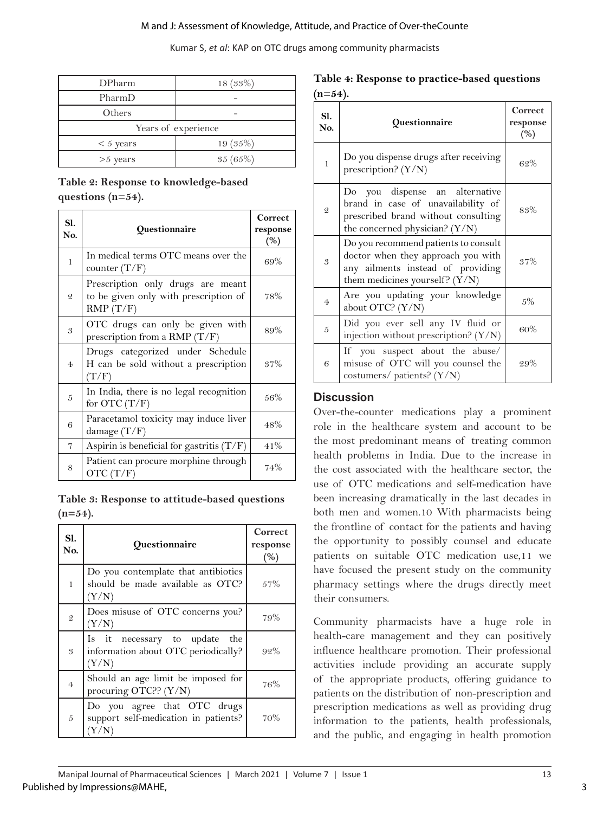#### M and J: Assessment of Knowledge, Attitude, and Practice of Over-theCounte

Kumar S, *et al*: KAP on OTC drugs among community pharmacists

| <b>DPharm</b>       | 18(33%)    |  |
|---------------------|------------|--|
| PharmD              |            |  |
| Others              |            |  |
| Years of experience |            |  |
| $< 5$ years         | $19(35\%)$ |  |
| $>5$ years          | 35(65%)    |  |

### **Table 2: Response to knowledge-based questions (n=54).**

| Sl.<br>No.     | Questionnaire                                                                          | Correct<br>response<br>(%) |
|----------------|----------------------------------------------------------------------------------------|----------------------------|
| 1              | In medical terms OTC means over the<br>counter $(T/F)$                                 | 69%                        |
| $\mathfrak{D}$ | Prescription only drugs are meant<br>to be given only with prescription of<br>RMP(T/F) | 78%                        |
| 3              | OTC drugs can only be given with<br>prescription from a RMP $(T/F)$                    | 89%                        |
| $\overline{4}$ | Drugs categorized under Schedule<br>H can be sold without a prescription<br>(T/F)      | 37%                        |
| 5              | In India, there is no legal recognition<br>for OTC $(T/F)$                             | 56%                        |
| 6              | Paracetamol toxicity may induce liver<br>damage $(T/F)$                                | 48%                        |
| 7              | Aspirin is beneficial for gastritis $(T/F)$                                            | 41%                        |
| 8              | Patient can procure morphine through<br>OTC $(T/F)$                                    | 74%                        |

**Table 3: Response to attitude-based questions (n=54).**

| S1.<br>No.     | Questionnaire                                                                    | Correct<br>response<br>(%) |
|----------------|----------------------------------------------------------------------------------|----------------------------|
| $\mathbf{1}$   | Do you contemplate that antibiotics<br>should be made available as OTC?<br>(Y/N) | 57%                        |
| $\overline{2}$ | Does misuse of OTC concerns you?<br>(Y/N)                                        | 79%                        |
| 3              | Is it necessary to update the<br>information about OTC periodically?<br>(Y/N)    | $92\%$                     |
| $\overline{4}$ | Should an age limit be imposed for<br>procuring OTC?? (Y/N)                      | 76%                        |
| 5              | Do you agree that OTC drugs<br>support self-medication in patients?<br>'Y/N      | 70%                        |

**Table 4: Response to practice-based questions (n=54).**

| Sl.<br>No.                 | Questionnaire                                                                                                                                       | Correct<br>response<br>(%) |
|----------------------------|-----------------------------------------------------------------------------------------------------------------------------------------------------|----------------------------|
| $\mathbf{1}$               | Do you dispense drugs after receiving<br>prescription? $(Y/N)$                                                                                      | 62%                        |
| $\mathfrak{2}$             | Do you dispense an alternative<br>brand in case of unavailability of<br>prescribed brand without consulting<br>the concerned physician? $(Y/N)$     | 83%                        |
| $\boldsymbol{\mathcal{S}}$ | Do you recommend patients to consult<br>doctor when they approach you with<br>any ailments instead of providing<br>them medicines yourself? $(Y/N)$ | 37%                        |
| $\overline{4}$             | Are you updating your knowledge<br>about OTC? (Y/N)                                                                                                 | $.5\%$                     |
| $\overline{5}$             | Did you ever sell any IV fluid or<br>injection without prescription? $(Y/N)$                                                                        | 60%                        |
| 6                          | If you suspect about the abuse/<br>misuse of OTC will you counsel the<br>costumers/ patients? (Y/N)                                                 | 29%                        |

# **Discussion**

Over-the-counter medications play a prominent role in the healthcare system and account to be the most predominant means of treating common health problems in India. Due to the increase in the cost associated with the healthcare sector, the use of OTC medications and self-medication have been increasing dramatically in the last decades in both men and women.10 With pharmacists being the frontline of contact for the patients and having the opportunity to possibly counsel and educate patients on suitable OTC medication use,11 we have focused the present study on the community pharmacy settings where the drugs directly meet their consumers.

Community pharmacists have a huge role in health-care management and they can positively influence healthcare promotion. Their professional activities include providing an accurate supply of the appropriate products, offering guidance to patients on the distribution of non-prescription and prescription medications as well as providing drug information to the patients, health professionals, and the public, and engaging in health promotion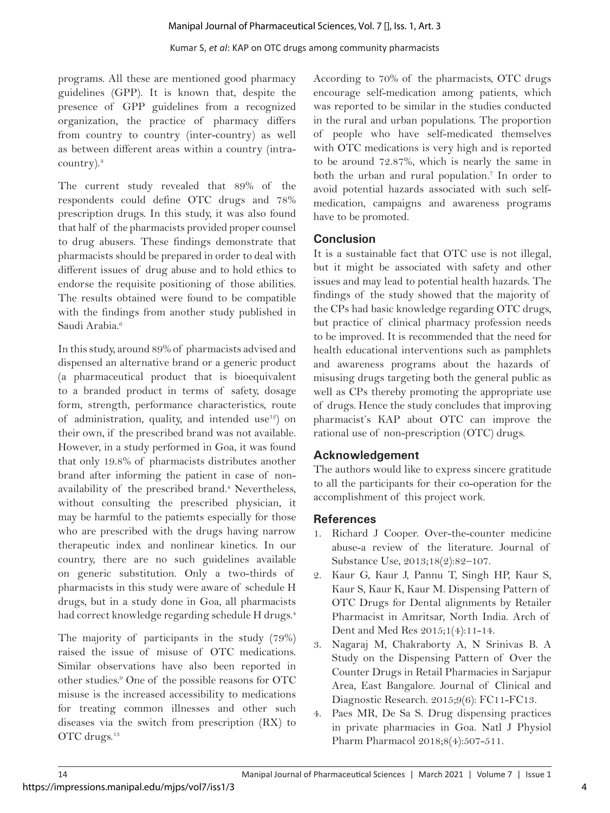programs. All these are mentioned good pharmacy guidelines (GPP). It is known that, despite the presence of GPP guidelines from a recognized organization, the practice of pharmacy differs from country to country (inter-country) as well as between different areas within a country (intracountry).4

The current study revealed that 89% of the respondents could define OTC drugs and 78% prescription drugs. In this study, it was also found that half of the pharmacists provided proper counsel to drug abusers. These findings demonstrate that pharmacists should be prepared in order to deal with different issues of drug abuse and to hold ethics to endorse the requisite positioning of those abilities. The results obtained were found to be compatible with the findings from another study published in Saudi Arabia<sup>6</sup>

In this study, around 89% of pharmacists advised and dispensed an alternative brand or a generic product (a pharmaceutical product that is bioequivalent to a branded product in terms of safety, dosage form, strength, performance characteristics, route of administration, quality, and intended use<sup>12</sup>) on their own, if the prescribed brand was not available. However, in a study performed in Goa, it was found that only 19.8% of pharmacists distributes another brand after informing the patient in case of nonavailability of the prescribed brand.<sup>4</sup> Nevertheless, without consulting the prescribed physician, it may be harmful to the patiemts especially for those who are prescribed with the drugs having narrow therapeutic index and nonlinear kinetics. In our country, there are no such guidelines available on generic substitution. Only a two-thirds of pharmacists in this study were aware of schedule H drugs, but in a study done in Goa, all pharmacists had correct knowledge regarding schedule H drugs.<sup>4</sup>

The majority of participants in the study (79%) raised the issue of misuse of OTC medications. Similar observations have also been reported in other studies.9 One of the possible reasons for OTC misuse is the increased accessibility to medications for treating common illnesses and other such diseases via the switch from prescription (RX) to OTC drugs.<sup>13</sup>

According to 70% of the pharmacists, OTC drugs encourage self-medication among patients, which was reported to be similar in the studies conducted in the rural and urban populations. The proportion of people who have self-medicated themselves with OTC medications is very high and is reported to be around 72.87%, which is nearly the same in both the urban and rural population.7 In order to avoid potential hazards associated with such selfmedication, campaigns and awareness programs have to be promoted.

# **Conclusion**

It is a sustainable fact that OTC use is not illegal, but it might be associated with safety and other issues and may lead to potential health hazards. The findings of the study showed that the majority of the CPs had basic knowledge regarding OTC drugs, but practice of clinical pharmacy profession needs to be improved. It is recommended that the need for health educational interventions such as pamphlets and awareness programs about the hazards of misusing drugs targeting both the general public as well as CPs thereby promoting the appropriate use of drugs. Hence the study concludes that improving pharmacist's KAP about OTC can improve the rational use of non-prescription (OTC) drugs.

# **Acknowledgement**

The authors would like to express sincere gratitude to all the participants for their co-operation for the accomplishment of this project work.

# **References**

- 1. Richard J Cooper. Over-the-counter medicine abuse-a review of the literature. Journal of Substance Use, 2013;18(2):82–107.
- 2. Kaur G, Kaur J, Pannu T, Singh HP, Kaur S, Kaur S, Kaur K, Kaur M. Dispensing Pattern of OTC Drugs for Dental alignments by Retailer Pharmacist in Amritsar, North India. Arch of Dent and Med Res 2015;1(4):11-14.
- 3. Nagaraj M, Chakraborty A, N Srinivas B. A Study on the Dispensing Pattern of Over the Counter Drugs in Retail Pharmacies in Sarjapur Area, East Bangalore. Journal of Clinical and Diagnostic Research. 2015;9(6): FC11-FC13.
- 4. Paes MR, De Sa S. Drug dispensing practices in private pharmacies in Goa. Natl J Physiol Pharm Pharmacol 2018;8(4):507-511.